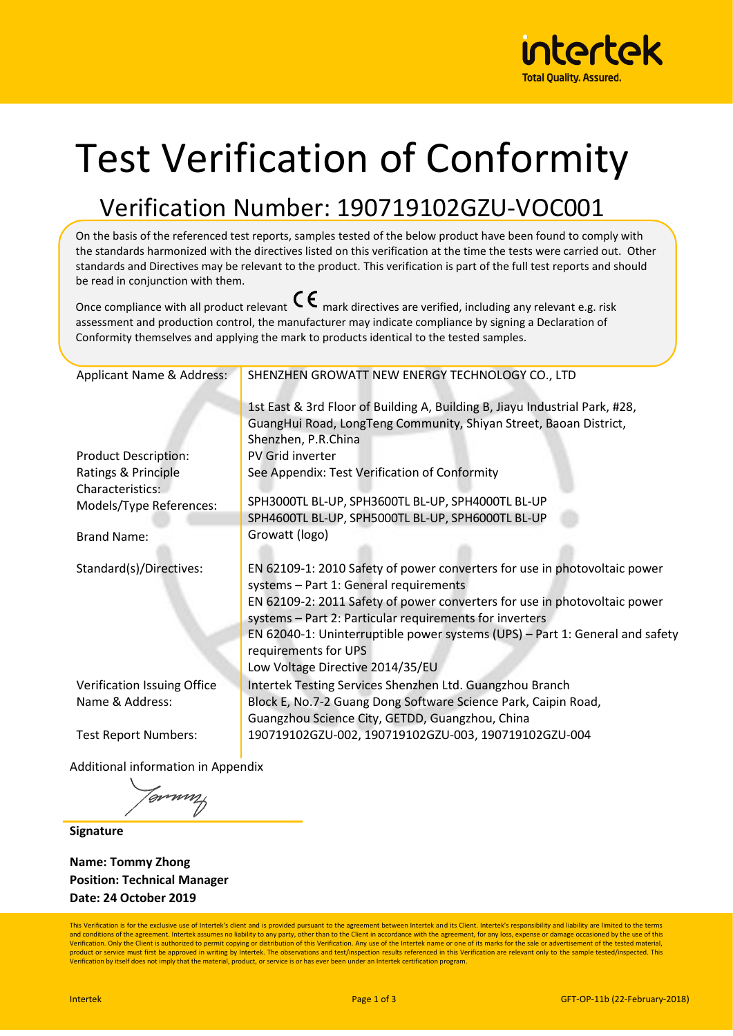

# Test Verification of Conformity

# Verification Number: 190719102GZU-VOC001

On the basis of the referenced test reports, samples tested of the below product have been found to comply with the standards harmonized with the directives listed on this verification at the time the tests were carried out. Other standards and Directives may be relevant to the product. This verification is part of the full test reports and should be read in conjunction with them.

Once compliance with all product relevant  $\mathsf{C}\boldsymbol{\epsilon}$  mark directives are verified, including any relevant e.g. risk assessment and production control, the manufacturer may indicate compliance by signing a Declaration of Conformity themselves and applying the mark to products identical to the tested samples.

| Applicant Name & Address:   | SHENZHEN GROWATT NEW ENERGY TECHNOLOGY CO., LTD                                                                     |  |  |  |
|-----------------------------|---------------------------------------------------------------------------------------------------------------------|--|--|--|
|                             | 1st East & 3rd Floor of Building A, Building B, Jiayu Industrial Park, #28,                                         |  |  |  |
|                             | GuangHui Road, LongTeng Community, Shiyan Street, Baoan District,                                                   |  |  |  |
|                             | Shenzhen, P.R.China                                                                                                 |  |  |  |
| <b>Product Description:</b> | PV Grid inverter                                                                                                    |  |  |  |
| Ratings & Principle         | See Appendix: Test Verification of Conformity                                                                       |  |  |  |
| Characteristics:            |                                                                                                                     |  |  |  |
| Models/Type References:     | SPH3000TL BL-UP, SPH3600TL BL-UP, SPH4000TL BL-UP                                                                   |  |  |  |
|                             | SPH4600TL BL-UP, SPH5000TL BL-UP, SPH6000TL BL-UP                                                                   |  |  |  |
| <b>Brand Name:</b>          | Growatt (logo)                                                                                                      |  |  |  |
| Standard(s)/Directives:     | EN 62109-1: 2010 Safety of power converters for use in photovoltaic power<br>systems - Part 1: General requirements |  |  |  |
|                             | EN 62109-2: 2011 Safety of power converters for use in photovoltaic power                                           |  |  |  |
|                             | systems - Part 2: Particular requirements for inverters                                                             |  |  |  |
|                             | EN 62040-1: Uninterruptible power systems (UPS) - Part 1: General and safety                                        |  |  |  |
|                             | requirements for UPS                                                                                                |  |  |  |
|                             | Low Voltage Directive 2014/35/EU                                                                                    |  |  |  |
| Verification Issuing Office | Intertek Testing Services Shenzhen Ltd. Guangzhou Branch                                                            |  |  |  |
| Name & Address:             | Block E, No.7-2 Guang Dong Software Science Park, Caipin Road,                                                      |  |  |  |
|                             | Guangzhou Science City, GETDD, Guangzhou, China                                                                     |  |  |  |
| <b>Test Report Numbers:</b> | 190719102GZU-002, 190719102GZU-003, 190719102GZU-004                                                                |  |  |  |

Additional information in Appendix

musika (

**Signature**

**Name: Tommy Zhong Position: Technical Manager Date: 24 October 2019**

This Verification is for the exclusive use of Intertek's client and is provided pursuant to the agreement between Intertek and its Client. Intertek's responsibility and liability are limited to the terms and conditions of the agreement. Intertek assumes no liability to any party, other than to the Client in accordance with the agreement, for any loss, expense or damage occasioned by the use of this<br>Verification. Only the C product or service must first be approved in writing by Intertek. The observations and test/inspection results referenced in this Verification are relevant only to the sample tested/inspected. This Verification by itself does not imply that the material, product, or service is or has ever been under an Intertek certification program.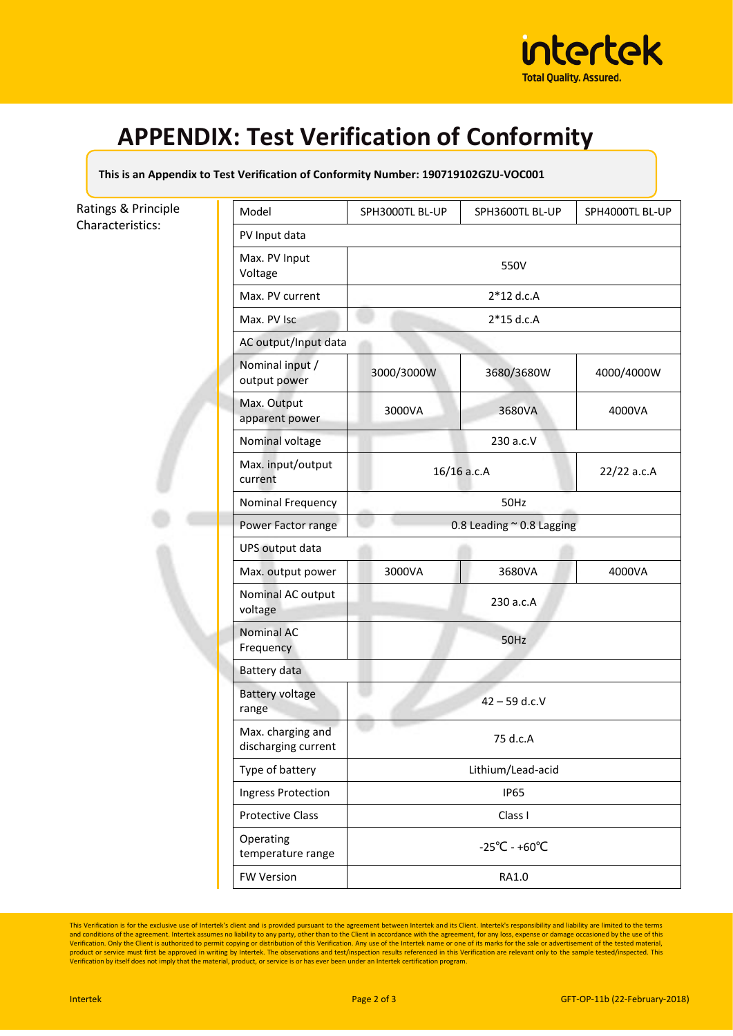

# **APPENDIX: Test Verification of Conformity**

#### **This is an Appendix to Test Verification of Conformity Number: 190719102GZU-VOC001**

### Ratings & Principle Characteristics:

| Model                                    | SPH3000TL BL-UP                    | SPH3600TL BL-UP | SPH4000TL BL-UP |  |
|------------------------------------------|------------------------------------|-----------------|-----------------|--|
| PV Input data                            |                                    |                 |                 |  |
| Max. PV Input<br>Voltage                 | 550V                               |                 |                 |  |
| Max. PV current                          | $2*12$ d.c.A                       |                 |                 |  |
| Max. PV Isc                              | $2*15$ d.c.A                       |                 |                 |  |
| AC output/Input data                     |                                    |                 |                 |  |
| Nominal input /<br>output power          | 3000/3000W                         | 3680/3680W      | 4000/4000W      |  |
| Max. Output<br>apparent power            | 3000VA                             | 3680VA          | 4000VA          |  |
| Nominal voltage                          | 230 a.c.V                          |                 |                 |  |
| Max. input/output<br>current             | 16/16 a.c.A                        |                 | 22/22 a.c.A     |  |
| Nominal Frequency                        | 50Hz                               |                 |                 |  |
| Power Factor range                       | 0.8 Leading $\approx$ 0.8 Lagging  |                 |                 |  |
| UPS output data                          |                                    |                 |                 |  |
| Max. output power                        | 3000VA                             | 3680VA          | 4000VA          |  |
| Nominal AC output<br>voltage             | 230 a.c.A                          |                 |                 |  |
| <b>Nominal AC</b><br>Frequency           | 50Hz                               |                 |                 |  |
| Battery data                             |                                    |                 |                 |  |
| <b>Battery voltage</b><br>range          | $42 - 59$ d.c.V                    |                 |                 |  |
| Max. charging and<br>discharging current | 75 d.c.A                           |                 |                 |  |
| Type of battery                          | Lithium/Lead-acid                  |                 |                 |  |
| Ingress Protection                       | <b>IP65</b>                        |                 |                 |  |
| <b>Protective Class</b>                  | Class I                            |                 |                 |  |
| Operating<br>temperature range           | $-25^{\circ}$ C - +60 $^{\circ}$ C |                 |                 |  |
| <b>FW Version</b>                        | RA1.0                              |                 |                 |  |

This Verification is for the exclusive use of Intertek's client and is provided pursuant to the agreement between Intertek and its Client. Intertek's responsibility and liability are limited to the terms<br>and conditions of product or service must first be approved in writing by Intertek. The observations and test/inspection results referenced in this Verification are relevant only to the sample tested/inspected. This<br>Verification by itself d